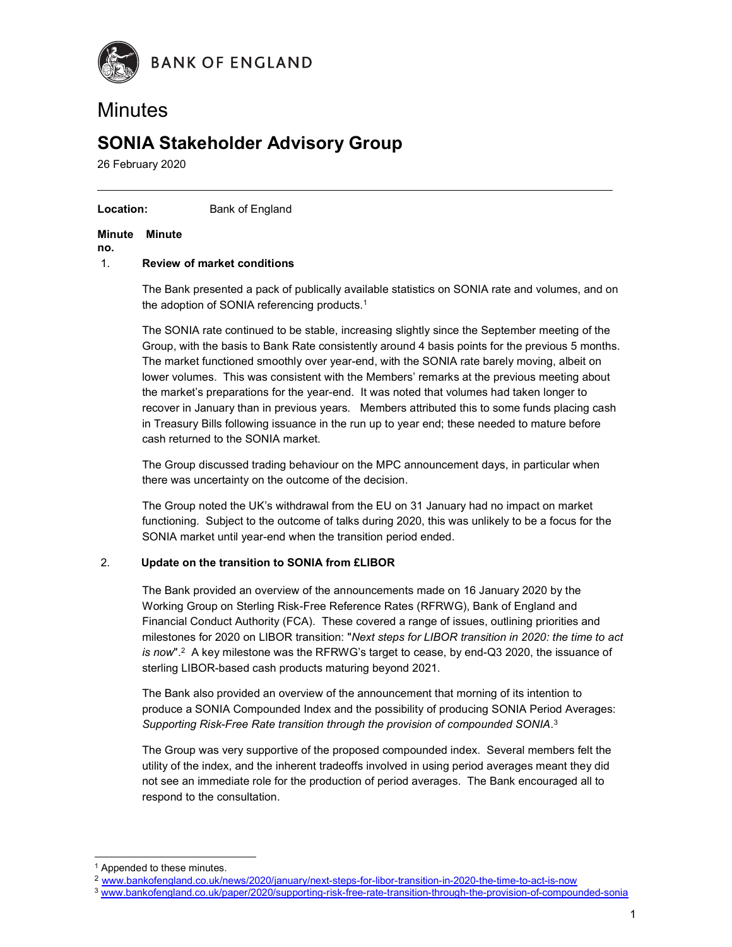

# **Minutes**

# SONIA Stakeholder Advisory Group

26 February 2020

#### Location: Bank of England

#### Minute Minute

no.

#### 1. Review of market conditions

The Bank presented a pack of publically available statistics on SONIA rate and volumes, and on the adoption of SONIA referencing products. $1$ 

The SONIA rate continued to be stable, increasing slightly since the September meeting of the Group, with the basis to Bank Rate consistently around 4 basis points for the previous 5 months. The market functioned smoothly over year-end, with the SONIA rate barely moving, albeit on lower volumes. This was consistent with the Members' remarks at the previous meeting about the market's preparations for the year-end. It was noted that volumes had taken longer to recover in January than in previous years. Members attributed this to some funds placing cash in Treasury Bills following issuance in the run up to year end; these needed to mature before cash returned to the SONIA market.

The Group discussed trading behaviour on the MPC announcement days, in particular when there was uncertainty on the outcome of the decision.

The Group noted the UK's withdrawal from the EU on 31 January had no impact on market functioning. Subject to the outcome of talks during 2020, this was unlikely to be a focus for the SONIA market until year-end when the transition period ended.

#### 2. Update on the transition to SONIA from £LIBOR

The Bank provided an overview of the announcements made on 16 January 2020 by the Working Group on Sterling Risk-Free Reference Rates (RFRWG), Bank of England and Financial Conduct Authority (FCA). These covered a range of issues, outlining priorities and milestones for 2020 on LIBOR transition: "Next steps for LIBOR transition in 2020: the time to act is now".<sup>2</sup> A key milestone was the RFRWG's target to cease, by end-Q3 2020, the issuance of sterling LIBOR-based cash products maturing beyond 2021.

The Bank also provided an overview of the announcement that morning of its intention to produce a SONIA Compounded Index and the possibility of producing SONIA Period Averages: Supporting Risk-Free Rate transition through the provision of compounded SONIA.<sup>3</sup>

The Group was very supportive of the proposed compounded index. Several members felt the utility of the index, and the inherent tradeoffs involved in using period averages meant they did not see an immediate role for the production of period averages. The Bank encouraged all to respond to the consultation.

<sup>&</sup>lt;sup>1</sup> Appended to these minutes.

<sup>&</sup>lt;sup>2</sup> www.bankofengland.co.uk/news/2020/january/next-steps-for-libor-transition-in-2020-the-time-to-act-is-now

<sup>3</sup> www.bankofengland.co.uk/paper/2020/supporting-risk-free-rate-transition-through-the-provision-of-compounded-sonia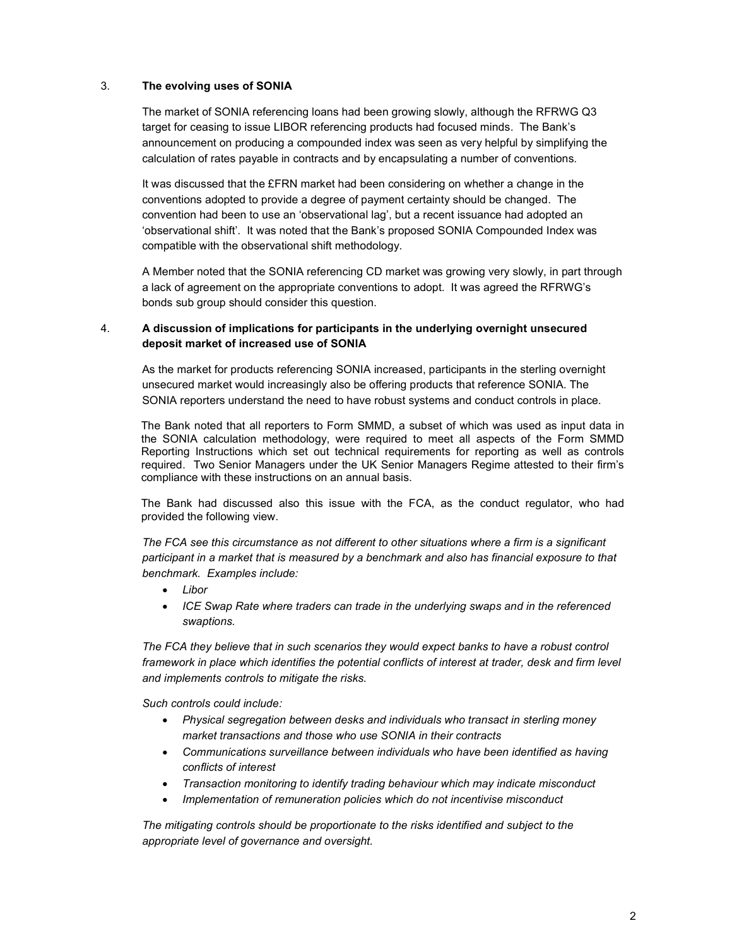#### 3. The evolving uses of SONIA

The market of SONIA referencing loans had been growing slowly, although the RFRWG Q3 target for ceasing to issue LIBOR referencing products had focused minds. The Bank's announcement on producing a compounded index was seen as very helpful by simplifying the calculation of rates payable in contracts and by encapsulating a number of conventions.

It was discussed that the £FRN market had been considering on whether a change in the conventions adopted to provide a degree of payment certainty should be changed. The convention had been to use an 'observational lag', but a recent issuance had adopted an 'observational shift'. It was noted that the Bank's proposed SONIA Compounded Index was compatible with the observational shift methodology.

A Member noted that the SONIA referencing CD market was growing very slowly, in part through a lack of agreement on the appropriate conventions to adopt. It was agreed the RFRWG's bonds sub group should consider this question.

#### 4. A discussion of implications for participants in the underlying overnight unsecured deposit market of increased use of SONIA

As the market for products referencing SONIA increased, participants in the sterling overnight unsecured market would increasingly also be offering products that reference SONIA. The SONIA reporters understand the need to have robust systems and conduct controls in place.

The Bank noted that all reporters to Form SMMD, a subset of which was used as input data in the SONIA calculation methodology, were required to meet all aspects of the Form SMMD Reporting Instructions which set out technical requirements for reporting as well as controls required. Two Senior Managers under the UK Senior Managers Regime attested to their firm's compliance with these instructions on an annual basis.

The Bank had discussed also this issue with the FCA, as the conduct regulator, who had provided the following view.

The FCA see this circumstance as not different to other situations where a firm is a significant participant in a market that is measured by a benchmark and also has financial exposure to that benchmark. Examples include:

- Libor
- ICE Swap Rate where traders can trade in the underlying swaps and in the referenced swaptions.

The FCA they believe that in such scenarios they would expect banks to have a robust control framework in place which identifies the potential conflicts of interest at trader, desk and firm level and implements controls to mitigate the risks.

Such controls could include:

- Physical segregation between desks and individuals who transact in sterling money market transactions and those who use SONIA in their contracts
- Communications surveillance between individuals who have been identified as having conflicts of interest
- Transaction monitoring to identify trading behaviour which may indicate misconduct
- Implementation of remuneration policies which do not incentivise misconduct

The mitigating controls should be proportionate to the risks identified and subject to the appropriate level of governance and oversight.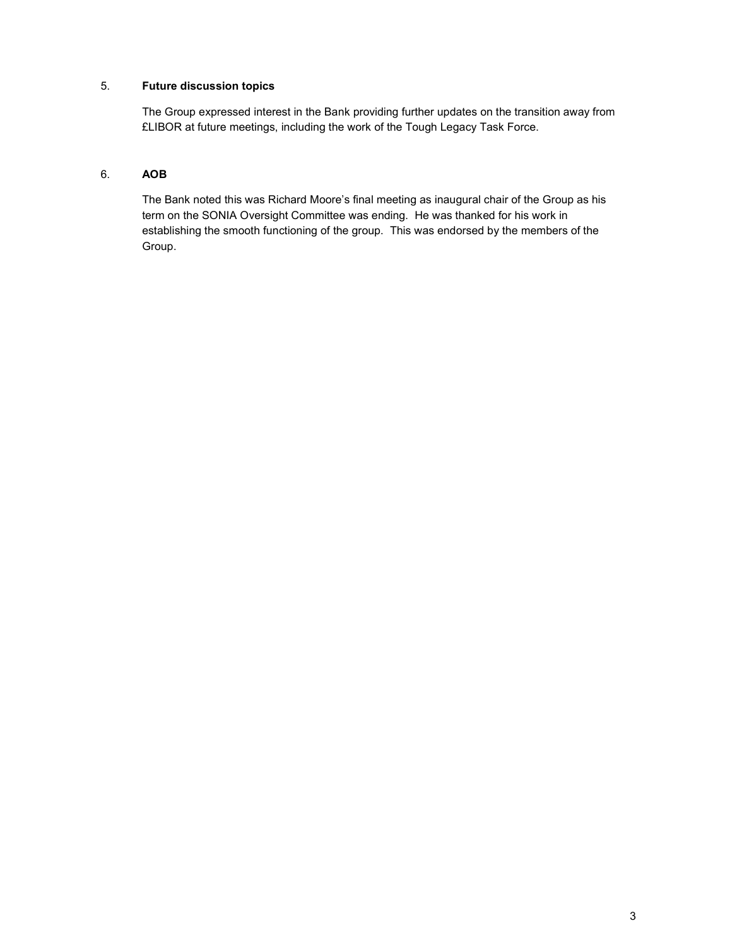### 5. Future discussion topics

The Group expressed interest in the Bank providing further updates on the transition away from £LIBOR at future meetings, including the work of the Tough Legacy Task Force.

#### 6. AOB

The Bank noted this was Richard Moore's final meeting as inaugural chair of the Group as his term on the SONIA Oversight Committee was ending. He was thanked for his work in establishing the smooth functioning of the group. This was endorsed by the members of the Group.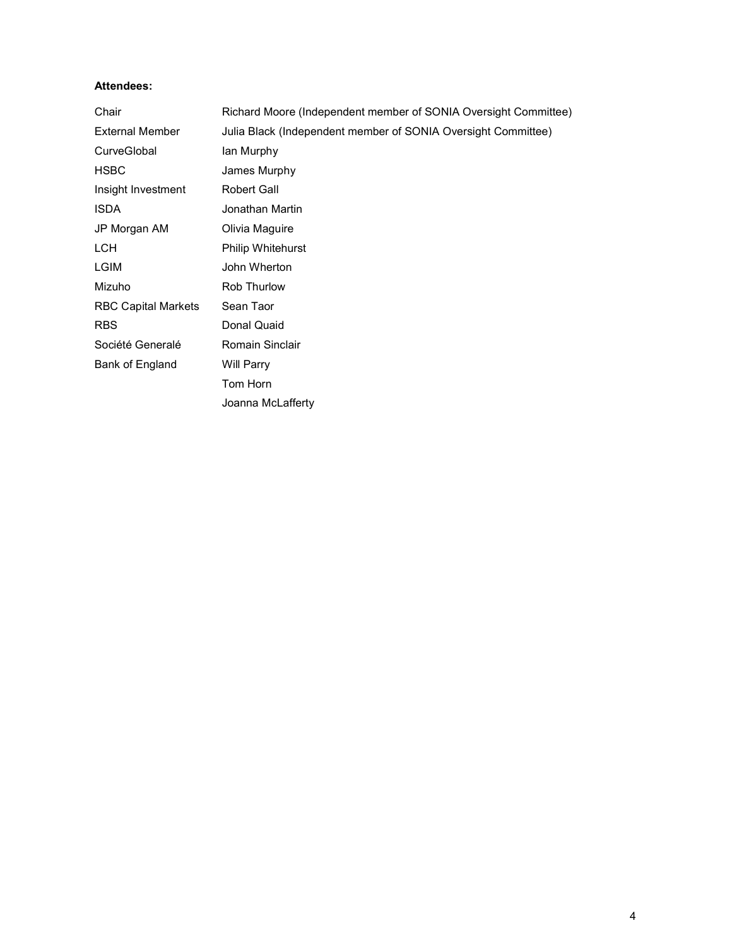#### Attendees:

| Chair                      | Richard Moore (Independent member of SONIA Oversight Committee) |  |  |  |
|----------------------------|-----------------------------------------------------------------|--|--|--|
| <b>External Member</b>     | Julia Black (Independent member of SONIA Oversight Committee)   |  |  |  |
| CurveGlobal                | lan Murphy                                                      |  |  |  |
| <b>HSBC</b>                | James Murphy                                                    |  |  |  |
| Insight Investment         | Robert Gall                                                     |  |  |  |
| <b>ISDA</b>                | Jonathan Martin                                                 |  |  |  |
| JP Morgan AM               | Olivia Maguire                                                  |  |  |  |
| LCH.                       | <b>Philip Whitehurst</b>                                        |  |  |  |
| LGIM                       | John Wherton                                                    |  |  |  |
| Mizuho                     | Rob Thurlow                                                     |  |  |  |
| <b>RBC Capital Markets</b> | Sean Taor                                                       |  |  |  |
| <b>RBS</b>                 | Donal Quaid                                                     |  |  |  |
| Société Generalé           | Romain Sinclair                                                 |  |  |  |
| Bank of England            | Will Parry                                                      |  |  |  |
|                            | Tom Horn                                                        |  |  |  |
|                            | Joanna McLafferty                                               |  |  |  |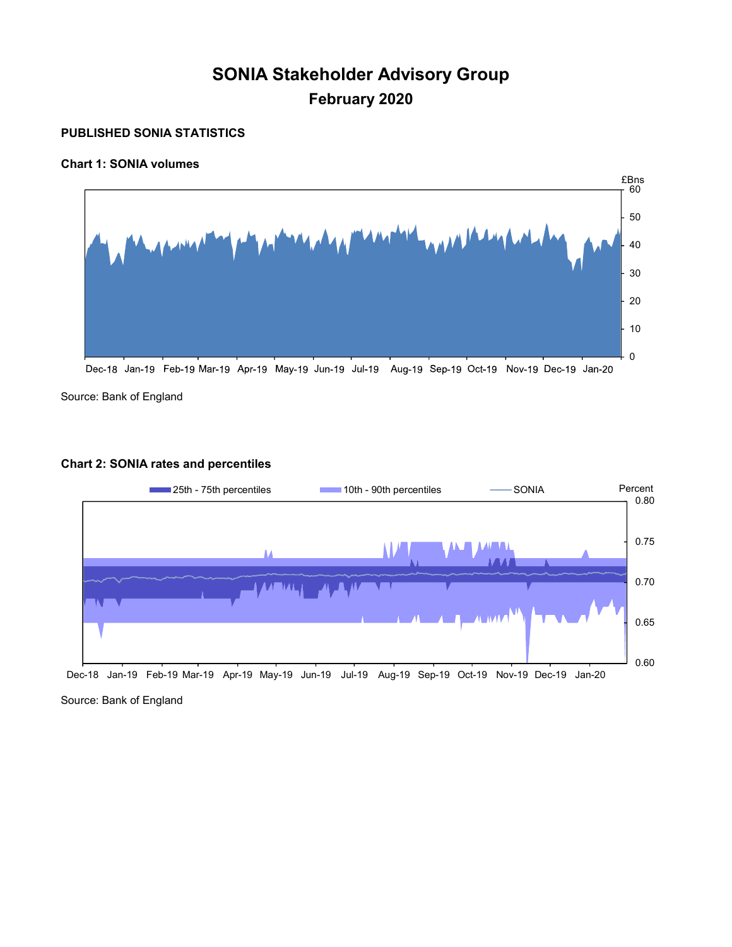# SONIA Stakeholder Advisory Group February 2020

# PUBLISHED SONIA STATISTICS

# Chart 1: SONIA volumes



Source: Bank of England

### Chart 2: SONIA rates and percentiles



Source: Bank of England